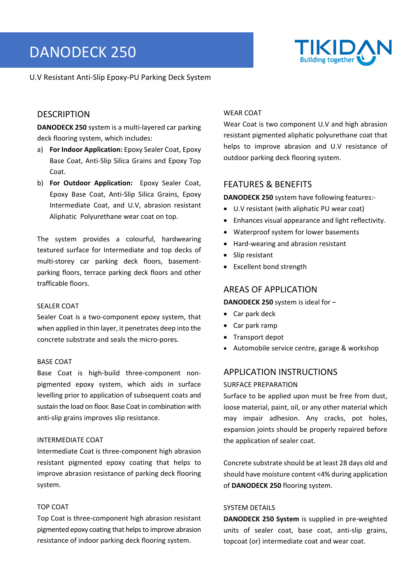# DANODECK 250



U.V Resistant Anti‐Slip Epoxy‐PU Parking Deck System

## **DESCRIPTION**

**DANODECK 250** system is a multi‐layered car parking deck flooring system, which includes:

- a) **For Indoor Application:** Epoxy Sealer Coat, Epoxy Base Coat, Anti‐Slip Silica Grains and Epoxy Top Coat.
- b) **For Outdoor Application:** Epoxy Sealer Coat, Epoxy Base Coat, Anti‐Slip Silica Grains, Epoxy Intermediate Coat, and U.V, abrasion resistant Aliphatic Polyurethane wear coat on top.

The system provides a colourful, hardwearing textured surface for Intermediate and top decks of multi‐storey car parking deck floors, basement‐ parking floors, terrace parking deck floors and other trafficable floors.

#### SEALER COAT

Sealer Coat is a two-component epoxy system, that when applied in thin layer, it penetrates deep into the concrete substrate and seals the micro‐pores.

#### BASE COAT

Base Coat is high‐build three‐component non‐ pigmented epoxy system, which aids in surface levelling prior to application of subsequent coats and sustain the load on floor. Base Coat in combination with anti‐slip grains improves slip resistance.

### INTERMEDIATE COAT

Intermediate Coat is three‐component high abrasion resistant pigmented epoxy coating that helps to improve abrasion resistance of parking deck flooring system.

## TOP COAT

Top Coat is three‐component high abrasion resistant pigmented epoxy coating that helps to improve abrasion resistance of indoor parking deck flooring system.

#### WEAR COAT

Wear Coat is two component U.V and high abrasion resistant pigmented aliphatic polyurethane coat that helps to improve abrasion and U.V resistance of outdoor parking deck flooring system.

## FEATURES & BENEFITS

**DANODECK 250** system have following features:‐

- U.V resistant (with aliphatic PU wear coat)
- Enhances visual appearance and light reflectivity.
- Waterproof system for lower basements
- Hard-wearing and abrasion resistant
- Slip resistant
- Excellent bond strength

## AREAS OF APPLICATION

#### **DANODECK 250** system is ideal for –

- Car park deck
- Car park ramp
- Transport depot
- Automobile service centre, garage & workshop

## APPLICATION INSTRUCTIONS

#### SURFACE PREPARATION

Surface to be applied upon must be free from dust, loose material, paint, oil, or any other material which may impair adhesion. Any cracks, pot holes, expansion joints should be properly repaired before the application of sealer coat.

Concrete substrate should be at least 28 days old and should have moisture content <4% during application of **DANODECK 250** flooring system.

### SYSTEM DETAILS

**DANODECK 250 System** is supplied in pre‐weighted units of sealer coat, base coat, anti‐slip grains, topcoat (or) intermediate coat and wear coat.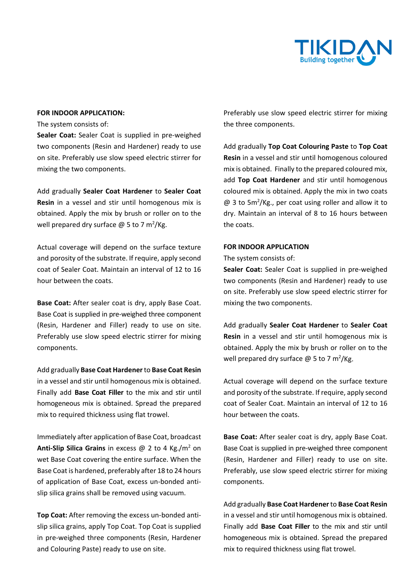

#### **FOR INDOOR APPLICATION:**

The system consists of:

Sealer Coat: Sealer Coat is supplied in pre-weighed two components (Resin and Hardener) ready to use on site. Preferably use slow speed electric stirrer for mixing the two components.

Add gradually **Sealer Coat Hardener** to **Sealer Coat Resin** in a vessel and stir until homogenous mix is obtained. Apply the mix by brush or roller on to the well prepared dry surface  $\omega$  5 to 7 m<sup>2</sup>/Kg.

Actual coverage will depend on the surface texture and porosity of the substrate. If require, apply second coat of Sealer Coat. Maintain an interval of 12 to 16 hour between the coats.

**Base Coat:** After sealer coat is dry, apply Base Coat. Base Coat is supplied in pre‐weighed three component (Resin, Hardener and Filler) ready to use on site. Preferably use slow speed electric stirrer for mixing components.

Add gradually **Base Coat Hardener** to **Base Coat Resin** in a vessel and stir until homogenous mix is obtained. Finally add **Base Coat Filler** to the mix and stir until homogeneous mix is obtained. Spread the prepared mix to required thickness using flat trowel.

Immediately after application of Base Coat, broadcast Anti-Slip Silica Grains in excess @ 2 to 4 Kg./m<sup>2</sup> on wet Base Coat covering the entire surface. When the Base Coat is hardened, preferably after 18 to 24 hours of application of Base Coat, excess un‐bonded anti‐ slip silica grains shall be removed using vacuum.

**Top Coat:** After removing the excess un‐bonded anti‐ slip silica grains, apply Top Coat. Top Coat is supplied in pre‐weighed three components (Resin, Hardener and Colouring Paste) ready to use on site.

Preferably use slow speed electric stirrer for mixing the three components.

Add gradually **Top Coat Colouring Paste** to **Top Coat Resin** in a vessel and stir until homogenous coloured mix is obtained. Finally to the prepared coloured mix, add **Top Coat Hardener** and stir until homogenous coloured mix is obtained. Apply the mix in two coats  $\omega$  3 to 5m<sup>2</sup>/Kg., per coat using roller and allow it to dry. Maintain an interval of 8 to 16 hours between the coats.

#### **FOR INDOOR APPLICATION**

The system consists of:

Sealer Coat: Sealer Coat is supplied in pre-weighed two components (Resin and Hardener) ready to use on site. Preferably use slow speed electric stirrer for mixing the two components.

Add gradually **Sealer Coat Hardener** to **Sealer Coat Resin** in a vessel and stir until homogenous mix is obtained. Apply the mix by brush or roller on to the well prepared dry surface  $\omega$  5 to 7 m<sup>2</sup>/Kg.

Actual coverage will depend on the surface texture and porosity of the substrate. If require, apply second coat of Sealer Coat. Maintain an interval of 12 to 16 hour between the coats.

**Base Coat:** After sealer coat is dry, apply Base Coat. Base Coat is supplied in pre‐weighed three component (Resin, Hardener and Filler) ready to use on site. Preferably, use slow speed electric stirrer for mixing components.

Add gradually **Base Coat Hardener** to **Base Coat Resin** in a vessel and stir until homogenous mix is obtained. Finally add **Base Coat Filler** to the mix and stir until homogeneous mix is obtained. Spread the prepared mix to required thickness using flat trowel.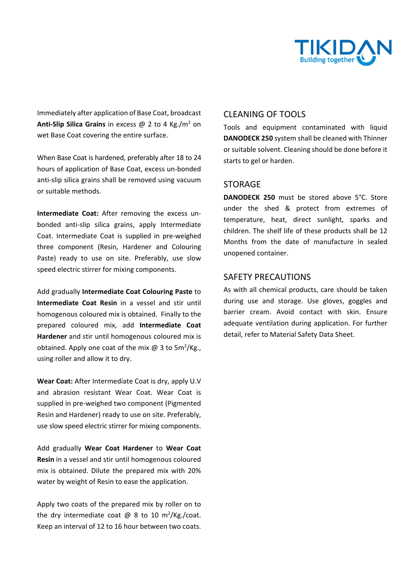

Immediately after application of Base Coat, broadcast Anti-Slip Silica Grains in excess @ 2 to 4 Kg./m<sup>2</sup> on wet Base Coat covering the entire surface.

When Base Coat is hardened, preferably after 18 to 24 hours of application of Base Coat, excess un‐bonded anti‐slip silica grains shall be removed using vacuum or suitable methods.

**Intermediate Coat:**  After removing the excess un‐ bonded anti‐slip silica grains, apply Intermediate Coat. Intermediate Coat is supplied in pre‐weighed three component (Resin, Hardener and Colouring Paste) ready to use on site. Preferably, use slow speed electric stirrer for mixing components.

Add gradually **Intermediate Coat Colouring Paste** to **Intermediate Coat Resin** in a vessel and stir until homogenous coloured mix is obtained. Finally to the prepared coloured mix, add **Intermediate Coat Hardener** and stir until homogenous coloured mix is obtained. Apply one coat of the mix  $\omega$  3 to 5m<sup>2</sup>/Kg., using roller and allow it to dry.

**Wear Coat:** After Intermediate Coat is dry, apply U.V and abrasion resistant Wear Coat. Wear Coat is supplied in pre‐weighed two component (Pigmented Resin and Hardener) ready to use on site. Preferably, use slow speed electric stirrer for mixing components.

Add gradually **Wear Coat Hardener** to **Wear Coat Resin** in a vessel and stir until homogenous coloured mix is obtained. Dilute the prepared mix with 20% water by weight of Resin to ease the application.

Apply two coats of the prepared mix by roller on to the dry intermediate coat  $\varpi$  8 to 10 m<sup>2</sup>/Kg./coat. Keep an interval of 12 to 16 hour between two coats.

## CLEANING OF TOOLS

Tools and equipment contaminated with liquid **DANODECK 250** system shall be cleaned with Thinner or suitable solvent. Cleaning should be done before it starts to gel or harden.

## STORAGE

**DANODECK 250** must be stored above 5°C. Store under the shed & protect from extremes of temperature, heat, direct sunlight, sparks and children. The shelf life of these products shall be 12 Months from the date of manufacture in sealed unopened container.

## SAFETY PRECAUTIONS

As with all chemical products, care should be taken during use and storage. Use gloves, goggles and barrier cream. Avoid contact with skin. Ensure adequate ventilation during application. For further detail, refer to Material Safety Data Sheet.